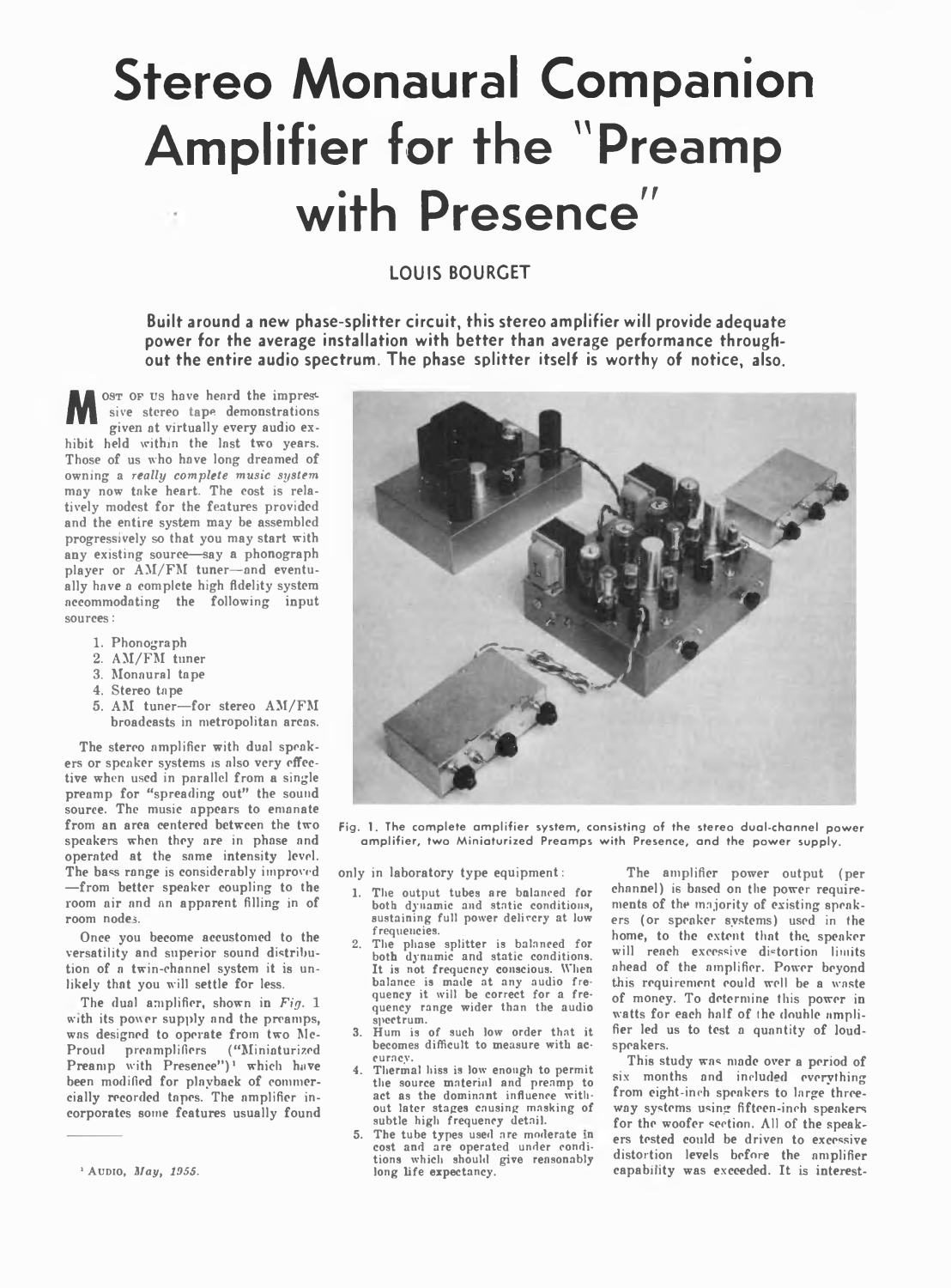# **Stereo Monaural Companion Amplifier for the "Preamp with Presence"**

## **LOUIS BOURCET**

**Built around a new phase-splitter circuit, this stereo amplifier will provide adequate power for the average installation with better than average performance throughout the entire audio spectrum. The phase splitter itself is worthy of notice, also.**

**M** <sup>OST</sup> OF US have heard the impressive stereo tape demonstrations given at virtually every audio exhibit held within the last two years. ost or us have heard the impressive stereo tape demonstrations given at virtually every audio ex-Those of us who have long dreamed of owning a *really complete music system* may now take heart. The eost is relatively modest for the features provided and the entire system may be assembled progressively so that you may start with any existing source—say a phonograph player or AM/FM tuner-and eventually have a complete high fidelity system accommodating the following input sources:

- 1. Phonograph
- 2. AM/FM tuner
- 3. Monaural tape
- 4. Stereo tape
- 5. AM tuner—for stereo AM/FM broadcasts in metropolitan areas.

The stereo amplifier with dual speakers or speaker systems is also very effective when used in parallel from a single preamp for "spreading out" the sound source. The music appears to emanate from an area centered between the two speakers when they are in phase and operated at the same intensity level. The bass range is considerably improved —from better speaker coupling to the room air and an apparent filling in of room nodes.

Once you become accustomed to the versatility and superior sound distribution of a twin-channel system it is unlikely that you will settle for less.

The dual amplifier, shown in *Fig.* 1 with its power supply and the preamps, was designed to operate from two Mc-Proud preamplifiers ("Miniaturized Preamp with Presence")<sup>1</sup> which have been modified for playback of commercially recorded tapes. The amplifier incorporates some features usually found



Fig. 1. The complete amplifier system, consisting of the stereo dual-channel power amplifier, two Miniaturized Preamps with Presence, and the power supply.

only in laboratory type equipment:

- 1. The output tubes are balanced for both dynamic and static conditions, sustaining full power delivery at low frequencies.
- 2. The phase splitter is balanced for both dynamic and static conditions. It is not frequency conscious. When balance is made at any audio fre-<br>quency it will be correct for a frequency range wider than the audio spectrum.
- 3. Hum is of such low order that it becomes difficult to measure with accuracy.
- Thermal hiss is low enough to permit the source material and preamp to act as the dominant influence without later stages causing masking of subtle high frequency detail.
- The tube types used are moderate in cost and are operated under conditions which should give reasonably long life expectancy.

The amplifier power output (per channel) is based on the power requirements of the majority of existing speakers (or speaker systems) used in the home, to the extent that the, speaker will reach excessive distortion limits ahead of the amplifier. Power beyond this requirement could well be a waste of money. To determine this power in watts for each half of the douhle amplifier led us to test a quantity of loudspeakers.

This study was made over a period of six months and included everything from eight-inch speakers to large threeway systems using fifteen-inch speakers for the woofer section. All of the speakers tested could be driven to excessive distortion levels before the amplifier capability was exceeded. It is interest-

<sup>1</sup> Audio, *Slay, 1955.*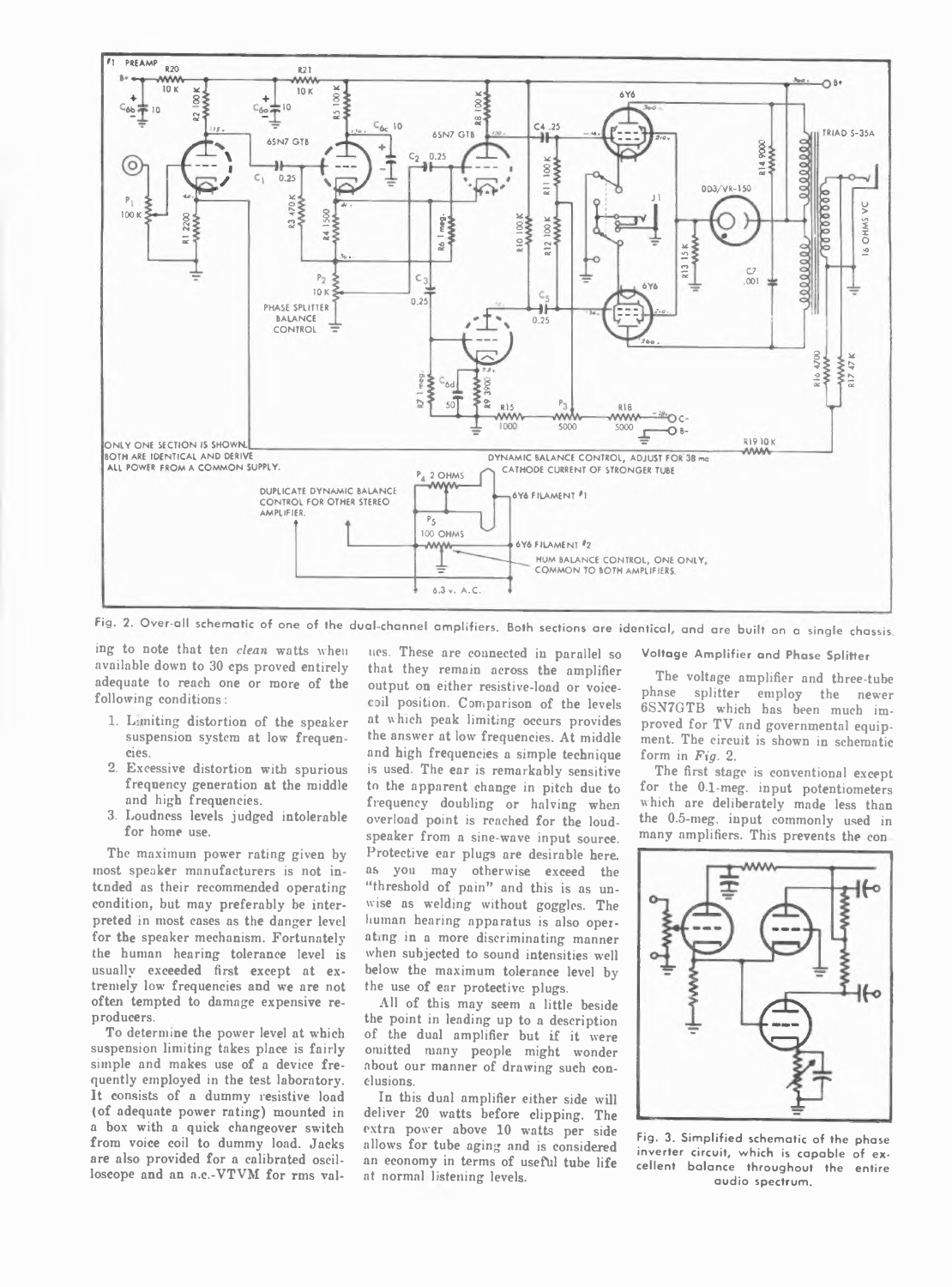

Fig. 2. Over-all schematic of one of the dual-channel amplifiers. Both sections are identical, and are built on a single chassis.

ing to note that ten *clean* watts when available down to 30 cps proved entirely adequate to reach one or more of the following conditions:

- 1. Lamiting distortion of the speaker suspension system at low frequencies.
- 2. Excessive distortion with spurious frequency generation at the middle and high frequencies.
- 3. Loudness levels judged intolerable for home use.

The maximum power rating given by most speaker manufacturers is not intended as their recommended operating condition, but may preferably be interpreted in most cases as the danger level for the speaker mechanism. Fortunately the human hearing tolerance level is usually exceeded first except at extremely low frequencies and we are not often tempted to damage expensive reproducers.

To determine the power level at which suspension limiting takes place is fairly simple and makes use of a device frequently employed in the test laboratory. It consists of a dummy resistive load (of adequate power rating) mounted in a box with a quick changeover switch from voice coil to dummy load. Jacks are also provided for a calibrated oscilloscope and an a.c.-VTVM for rms val-

ues. These are connected in parallel so that they remain across the amplifier output on either resistive-load or voicecoil position. Comparison of the levels at which peak limiting occurs provides the answer at low frequencies. At middle and high frequencies a simple technique is used. The ear is remarkably sensitive to the apparent change in pitch due to frequency doubling or halving when overload point is reached for the loudspeaker from a sine-wave input source. Protective car plugs are desirable here, as you may otherwise exceed the "threshold of pain" and this is as unwise as welding without goggles. The human hearing apparatus is also operating in a more discriminating manner when subjected to sound intensities well below the maximum tolerance level by the use of ear protective plugs.

All of this may seem a little beside the point in leading up to a description of the dual amplifier but if it were omitted many people might wonder about our manner of drawing such conclusions.

In this dual amplifier either side will deliver 20 watts before clipping. The extra power above 10 watts per side allows for tube aging and is considered an economy in terms of useful tube life at normal listening levels.

**Voltage Am plifier and Phase Splitter**

The voltage amplifier and three-tube phase splitter employ the newer 6SN7GTB which has been much improved for TV and governmental equipment. The circuit is shown in schematic form in *Fig. 2.*

The first stage is conventional except for the 0.1-meg. input potentiometers which are deliberately made less than the 0.5-meg. input commonly used in many amplifiers. This prevents the con



**Fig. 3. Sim plified schematic of the phase inverter circuit, which is capable of excellent balance throughout the entire audio spectrum.**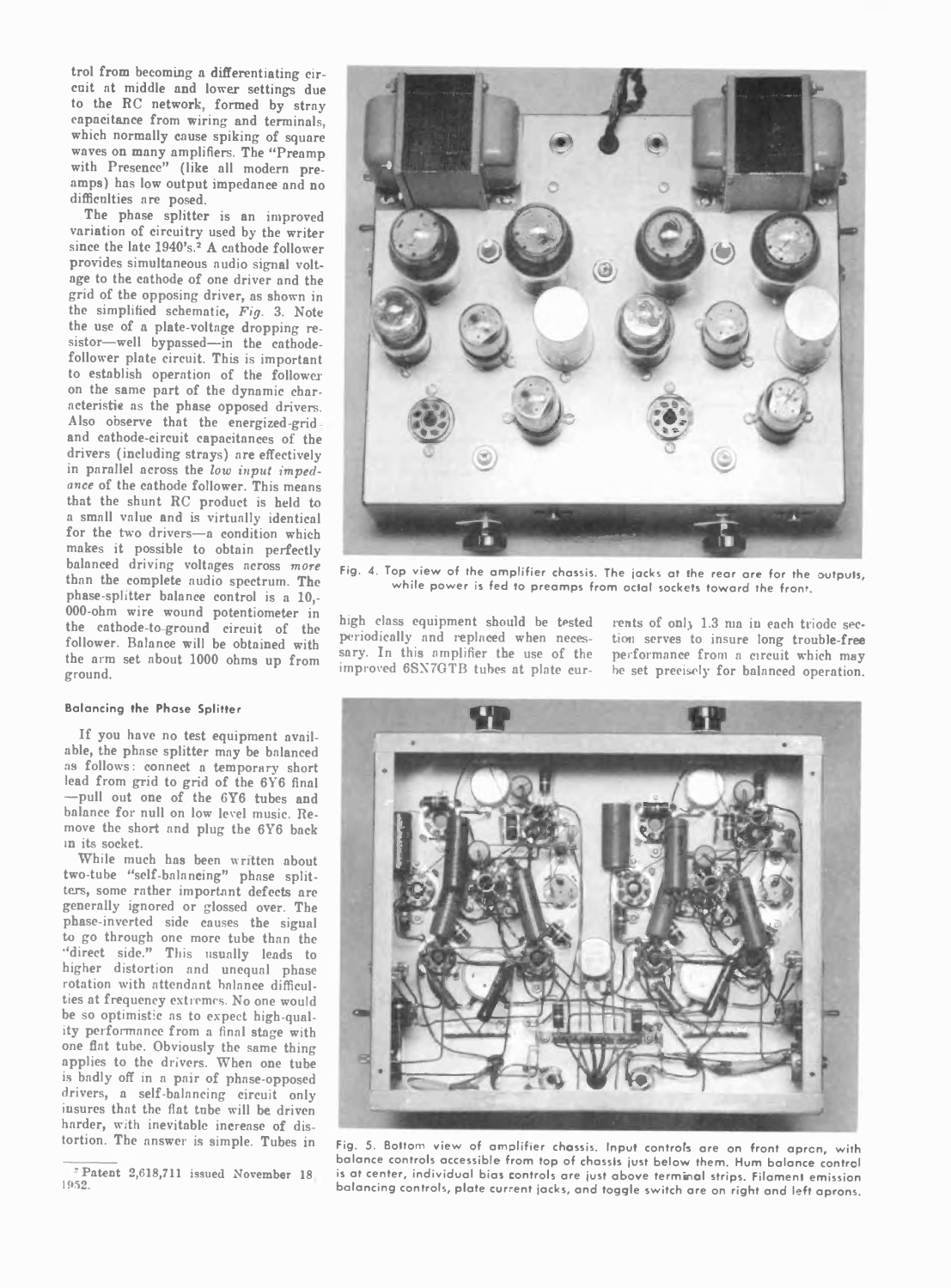trol from becoming a differentiating circuit at middle and lower settings due to the RC network, formed by stray capacitance from wiring and terminals, which normally cause spiking of square waves on many amplifiers. The "Preamp with Presence" (like all modern preamps) has low output impedance and no difficulties are posed.

The phase splitter is an improved variation of circuitry used by the writer since the late 1940's.<sup>2</sup> A cathode follower provides simultaneous audio signal voltage to the cathode of one driver and the grid of the opposing driver, as shown in the simplified schematic, *Fig.* 3. Note the use of a plate-voltage dropping resistor—well bypassed—in the cathodefollower plate circuit. This is important to establish operation of the follower on the same part of the dynamic characteristic as the phase opposed drivers. Also observe that the energized-grid and cathode-circuit capacitances of the drivers (including strays) are effectively in parallel across the *low input impedance* of the cathode follower. This means that the shunt RC product is held to a small value and is virtually identical for the two drivers—a condition which makes it possible to obtain perfectly balanced driving voltages across *more* than the complete audio spectrum. The phase-splitter balance control is a 10,- 000-ohm wire wound potentiometer in the cathode-to ground circuit of the follower. Balance will be obtained with the arm set about 1000 ohms up from ground.

### **Balancing the Phase Splitter**

If you have no test equipment available, the phase splitter may be balanced as follows: connect a temporary short lead from grid to grid of the 6Y6 final —pull out one of the 6Y6 tubes and balance for null on low level music. Remove the short and plug the 6Y6 back in its socket.

While much has been written about two-tube "self-balancing" phase splitters, some rather important defects are generally ignored or glossed over. The phase-inverted side causes the signal to go through one more tube than the "direct side." This usually leads to higher distortion and unequal phase rotation with attendant balance difficulties at frequency extremes. No one would be so optimistic as to expect high-quality performance from a final stage with one flat tube. Obviously the same thing applies to the drivers. When one tube is badly off in a pair of phase-opposed drivers, a self-balancing circuit only insures that the flat tube will be driven harder, with inevitable increase of distortion. The answer is simple. Tubes in



**Fig. 4. Top view of the am plifier chassis. The jacks at Ihe rear are for the outputs,** while power is fed to preamps from octal sockets toward the front.

high class equipment should be tested periodically and replaced when necessary. In this amplifier the use of the improved 6SX7GTB tubes at plate currents of only 1.3 ma in each triode section serves to insure long trouble-free performance from a circuit which may be set precisely for balanced operation.



**Fig. 5. Bottom view of am plifier chassis. Input controls are on front apron, with balance controls accessible from top of chassis just below them. Hum balance control** is at center, individual bias controls are just above terminal strips. Filament emission **balancing controls, plate current jacks, and toggle switch are on right and left aprons.**

 $P$  Patent 2,618,711 issued November 18 1052.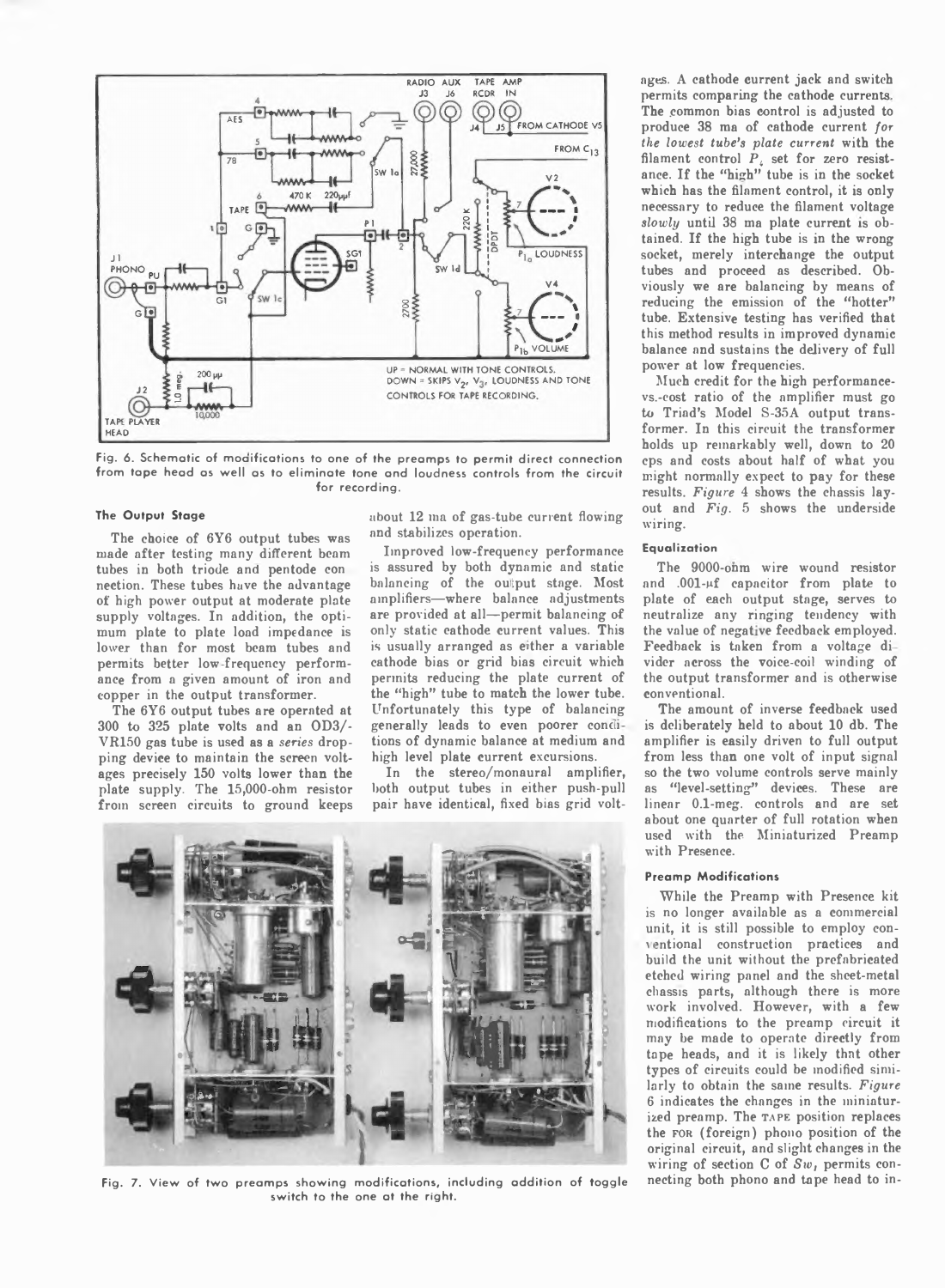

Fig. 6. Schematic of modifications to one of the preamps to permit direct connection from tape head as well as to eliminate tone and loudness controls from the circuit **for recording.**

#### **The Output Stage**

The choice of 6Y6 output tubes was made after testing many different beam tubes in both triode and pentode con nection. These tubes have the advantage of high power output at moderate plate supply voltages. In addition, the optimum plate to plate load impedance is lower than for most beam tubes and permits better low-frequency performance from a given amount of iron and copper in the output transformer.

The 6Y6 output tubes are operated at 300 to 325 plate volts and an OD3/- VR150 gas tube is used as a *series* dropping device to maintain the screen voltages precisely 150 volts lower than the plate supply. The 15,000-ohm resistor from screen circuits to ground keeps about 12 ma of gas-tube current flowing and stabilizes operation.

Improved low-frequency performance is assured by both dynamic and static balancing of the output stage. Most amplifiers—where balance adjustments are provided at all—permit balancing of only static eathode current values. This is usually arranged as either a variable cathode bias or grid bias circuit which permits reducing the plate current of the "high" tube to match the lower tube. Unfortunately this type of balancing generally leads to even poorer conditions of dynamic balance at medium and high level plate current excursions.

In the stereo/monaural amplifier, both output tubes in either push-pull pair have identical, fixed bias grid volt-



**Fig. 7. View of two pream ps showing modifications, including addition of toggle** necting both phono and tape head to in**switch to the one at the right.**

ages. A cathode current jack and switch permits comparing the cathode currents The common bias control is adjusted to produce 38 ma of cathode current *for the lowest tube's plate current* with the filament control *Pi* set for zero resistance. If the "high" tube is in the socket which has the filament control, it is only necessary to reduce the filament voltage *slowly* until 38 ma plate current is obtained. If the high tube is in the wrong socket, merely interchange the output tubes and proceed as described. Obviously we are balancing by means of reducing the emission of the "hotter" tube. Extensive testing has verified that this method results in improved dynamic balance and sustains the delivery of full power at low frequencies.

Much credit for the high performancevs.-cost ratio of the amplifier must go to Triad's Model S-35A output transformer. In this circuit the transformer holds up remarkably well, down to 20 cps and costs about half of what you might normally expect to pay for these results. *Figure* 4 shows the chassis layout and *Fig. 5* shows the underside wiring.

## **Equalization**

The 9000-onm wire wound resistor and .001-µf capacitor from plate to plate of each output stage, serves to neutralize any ringing tendency with the value of negative feedback employed. Feedback is taken from a voltage di vider across the voice-coil winding of the output transformer and is otherwise conventional.

The amount of inverse feedback used is deliberately held to about 10 db. The amplifier is easily driven to full output from less than one volt of input signal so the two volume controls serve mainly as "level-setting" devices. These are linear 0.1-meg. controls and are set about one quarter of full rotation when used with the Miniaturized Preamp with Presence.

## **Preamp Modifications**

While the Preamp with Presence kit is no longer available as a commercial unit, it is still possible to employ conventional construction practices and build the unit without the prefabricated etehed wiring panel and the sheet-metal chassis parts, although there is more work involved. However, with a few modifications to the preamp circuit it may be made to operate directly from tape heads, and it is likely that other types of circuits could be modified similarly to obtain the same results. *Figure* 6 indicates the changes in the miniaturized preamp. The TAPE position replaces the for (foreign) phono position of the original circuit, and slight changes in the wiring of section C of *Stv,* permits con